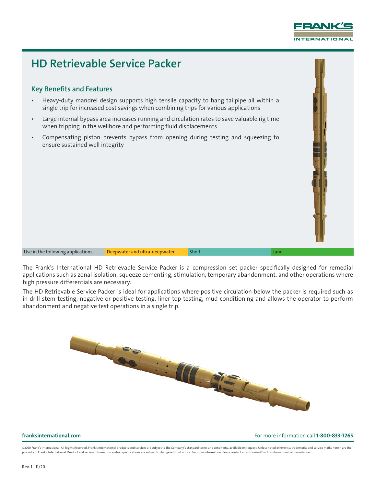

## HD Retrievable Service Packer

## Key Benefits and Features

- Heavy-duty mandrel design supports high tensile capacity to hang tailpipe all within a single trip for increased cost savings when combining trips for various applications
- Large internal bypass area increases running and circulation rates to save valuable rig time when tripping in the wellbore and performing fluid displacements
- Compensating piston prevents bypass from opening during testing and squeezing to ensure sustained well integrity

Use in the following applications: Deepwater and ultra-deepwater Shelf Shelf Shelf Land

The Frank's International HD Retrievable Service Packer is a compression set packer specifically designed for remedial applications such as zonal isolation, squeeze cementing, stimulation, temporary abandonment, and other operations where high pressure differentials are necessary.

The HD Retrievable Service Packer is ideal for applications where positive circulation below the packer is required such as in drill stem testing, negative or positive testing, liner top testing, mud conditioning and allows the operator to perform abandonment and negative test operations in a single trip.



### franksinternational.com For more information call 1-800-833-7265

@2020 Frank's International. All Rights Reserved. Frank's International products and services are subject to the Company's standard terms and conditions, available on request. Unless noted otherwise, trademarks and service property of Frank's International. Product and service information and/or specifications are subject to change without notice. For more information please contact an authorized Frank's International representative.